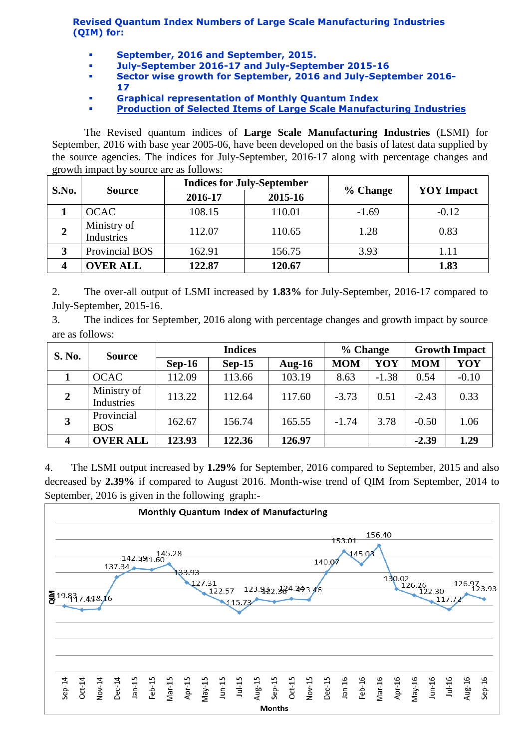**Revised Quantum Index Numbers of Large Scale Manufacturing Industries (QIM) for:**

- **September, 2016 and September, 2015.**
- **July-September 2016-17 and July-September 2015-16**
- **Sector wise growth for September, 2016 and July-September 2016- 17**
- **Graphical representation of Monthly Quantum Index**
- **[Production of Selected Items of Large Scale Manufacturing Industries](http://www.statpak.gov.pk/depts/fbs/statistics/qim/qim_details.pdf)**

The Revised quantum indices of **Large Scale Manufacturing Industries** (LSMI) for September, 2016 with base year 2005-06, have been developed on the basis of latest data supplied by the source agencies. The indices for July-September, 2016-17 along with percentage changes and growth impact by source are as follows:

| S.No. | <b>Source</b>             |         | <b>Indices for July-September</b> |          | <b>YOY</b> Impact |  |
|-------|---------------------------|---------|-----------------------------------|----------|-------------------|--|
|       |                           | 2016-17 | 2015-16                           | % Change |                   |  |
|       | <b>OCAC</b>               | 108.15  | 110.01                            | $-1.69$  | $-0.12$           |  |
|       | Ministry of<br>Industries | 112.07  | 110.65                            | 1.28     | 0.83              |  |
|       | Provincial BOS            | 162.91  | 156.75                            | 3.93     | 1.11              |  |
|       | <b>OVER ALL</b>           | 122.87  | 120.67                            |          | 1.83              |  |

2. The over-all output of LSMI increased by **1.83%** for July-September, 2016-17 compared to July-September, 2015-16.

3. The indices for September, 2016 along with percentage changes and growth impact by source are as follows:

| <b>S. No.</b>  | <b>Source</b>             | <b>Indices</b> |          |           | % Change   |         | <b>Growth Impact</b> |         |
|----------------|---------------------------|----------------|----------|-----------|------------|---------|----------------------|---------|
|                |                           | $Sep-16$       | $Sep-15$ | Aug- $16$ | <b>MOM</b> | YOY     | <b>MOM</b>           | YOY     |
|                | <b>OCAC</b>               | 112.09         | 113.66   | 103.19    | 8.63       | $-1.38$ | 0.54                 | $-0.10$ |
| $\overline{2}$ | Ministry of<br>Industries | 113.22         | 112.64   | 117.60    | $-3.73$    | 0.51    | $-2.43$              | 0.33    |
| 3              | Provincial<br><b>BOS</b>  | 162.67         | 156.74   | 165.55    | $-1.74$    | 3.78    | $-0.50$              | 1.06    |
|                | <b>OVER ALL</b>           | 123.93         | 122.36   | 126.97    |            |         | $-2.39$              | 1.29    |

4. The LSMI output increased by **1.29%** for September, 2016 compared to September, 2015 and also decreased by **2.39%** if compared to August 2016. Month-wise trend of QIM from September, 2014 to September, 2016 is given in the following graph:-